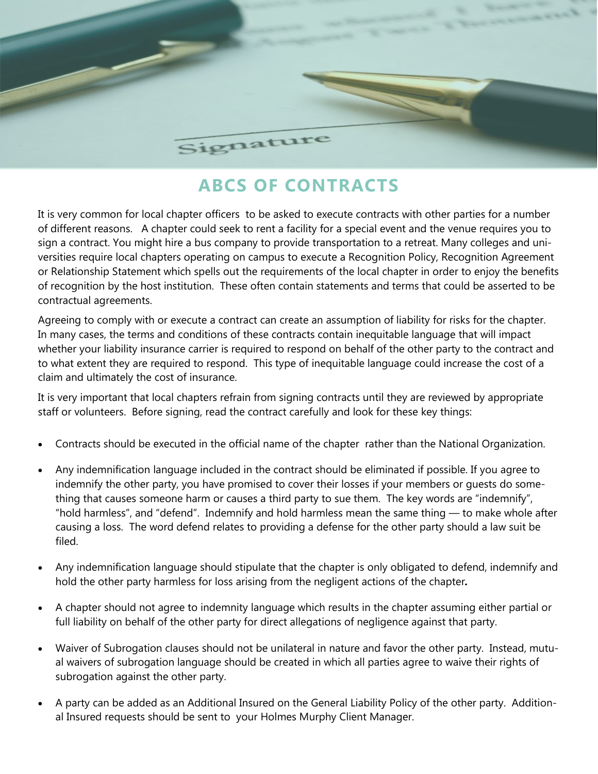

## **ABCS OF CONTRACTS**

It is very common for local chapter officers to be asked to execute contracts with other parties for a number of different reasons. A chapter could seek to rent a facility for a special event and the venue requires you to sign a contract. You might hire a bus company to provide transportation to a retreat. Many colleges and universities require local chapters operating on campus to execute a Recognition Policy, Recognition Agreement or Relationship Statement which spells out the requirements of the local chapter in order to enjoy the benefits of recognition by the host institution. These often contain statements and terms that could be asserted to be contractual agreements.

Agreeing to comply with or execute a contract can create an assumption of liability for risks for the chapter. In many cases, the terms and conditions of these contracts contain inequitable language that will impact whether your liability insurance carrier is required to respond on behalf of the other party to the contract and to what extent they are required to respond. This type of inequitable language could increase the cost of a claim and ultimately the cost of insurance.

It is very important that local chapters refrain from signing contracts until they are reviewed by appropriate staff or volunteers. Before signing, read the contract carefully and look for these key things:

- Contracts should be executed in the official name of the chapter rather than the National Organization.
- Any indemnification language included in the contract should be eliminated if possible. If you agree to indemnify the other party, you have promised to cover their losses if your members or guests do something that causes someone harm or causes a third party to sue them. The key words are "indemnify", "hold harmless", and "defend". Indemnify and hold harmless mean the same thing — to make whole after causing a loss. The word defend relates to providing a defense for the other party should a law suit be filed.
- Any indemnification language should stipulate that the chapter is only obligated to defend, indemnify and hold the other party harmless for loss arising from the negligent actions of the chapter*.*
- A chapter should not agree to indemnity language which results in the chapter assuming either partial or full liability on behalf of the other party for direct allegations of negligence against that party.
- Waiver of Subrogation clauses should not be unilateral in nature and favor the other party. Instead, mutual waivers of subrogation language should be created in which all parties agree to waive their rights of subrogation against the other party.
- A party can be added as an Additional Insured on the General Liability Policy of the other party. Additional Insured requests should be sent to your Holmes Murphy Client Manager.